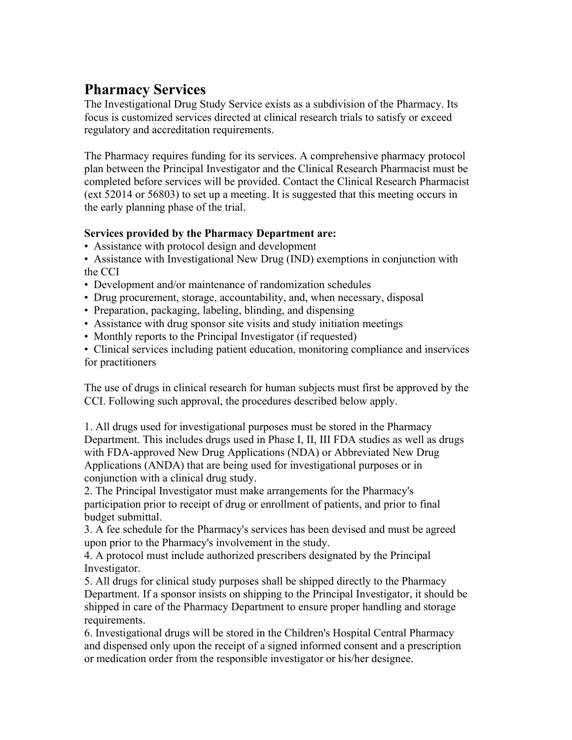## **Pharmacy Services**

The Investigational Drug Study Service exists as a subdivision of the Pharmacy. Its focus is customized services directed at clinical research trials to satisfy or exceed regulatory and accreditation requirements.

The Pharmacy requires funding for its services. A comprehensive pharmacy protocol plan between the Principal Investigator and the Clinical Research Pharmacist must be completed before services will be provided. Contact the Clinical Research Pharmacist (ext 52014 or 56803) to set up a meeting. It is suggested that this meeting occurs in the early planning phase of the trial.

## **Services provided by the Pharmacy Department are:**

• Assistance with protocol design and development

• Assistance with Investigational New Drug (IND) exemptions in conjunction with the CCI

- Development and/or maintenance of randomization schedules
- Drug procurement, storage, accountability, and, when necessary, disposal
- Preparation, packaging, labeling, blinding, and dispensing
- Assistance with drug sponsor site visits and study initiation meetings
- Monthly reports to the Principal Investigator (if requested)

• Clinical services including patient education, monitoring compliance and inservices for practitioners

The use of drugs in clinical research for human subjects must first be approved by the CCI. Following such approval, the procedures described below apply.

1. All drugs used for investigational purposes must be stored in the Pharmacy Department. This includes drugs used in Phase I, II, III FDA studies as well as drugs with FDA-approved New Drug Applications (NDA) or Abbreviated New Drug Applications (ANDA) that are being used for investigational purposes or in conjunction with a clinical drug study.

2. The Principal Investigator must make arrangements for the Pharmacy's participation prior to receipt of drug or enrollment of patients, and prior to final budget submittal.

3. A fee schedule for the Pharmacy's services has been devised and must be agreed upon prior to the Pharmacy's involvement in the study.

4. A protocol must include authorized prescribers designated by the Principal Investigator.

5. All drugs for clinical study purposes shall be shipped directly to the Pharmacy Department. If a sponsor insists on shipping to the Principal Investigator, it should be shipped in care of the Pharmacy Department to ensure proper handling and storage requirements.

6. Investigational drugs will be stored in the Children's Hospital Central Pharmacy and dispensed only upon the receipt of a signed informed consent and a prescription or medication order from the responsible investigator or his/her designee.